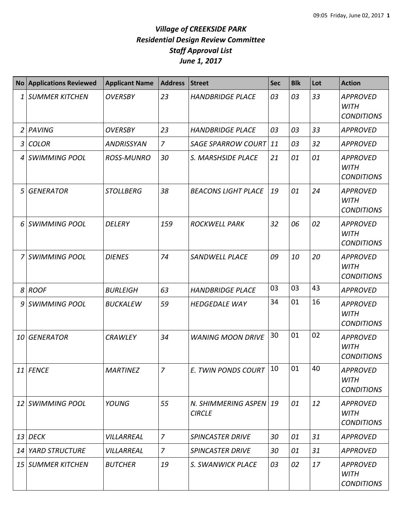| <b>No</b>       | <b>Applications Reviewed</b> | <b>Applicant Name</b> | <b>Address</b> | <b>Street</b>                           | <b>Sec</b> | <b>Blk</b> | Lot | <b>Action</b>                                       |
|-----------------|------------------------------|-----------------------|----------------|-----------------------------------------|------------|------------|-----|-----------------------------------------------------|
| 1               | <b>SUMMER KITCHEN</b>        | <b>OVERSBY</b>        | 23             | <b>HANDBRIDGE PLACE</b>                 | 03         | 03         | 33  | <b>APPROVED</b><br><b>WITH</b><br><b>CONDITIONS</b> |
| $\overline{2}$  | PAVING                       | <b>OVERSBY</b>        | 23             | <b>HANDBRIDGE PLACE</b>                 | 03         | 03         | 33  | <b>APPROVED</b>                                     |
| 3               | <b>COLOR</b>                 | <b>ANDRISSYAN</b>     | $\overline{z}$ | <b>SAGE SPARROW COURT</b>               | $\vert$ 11 | 03         | 32  | <b>APPROVED</b>                                     |
| 4               | <b>SWIMMING POOL</b>         | <b>ROSS-MUNRO</b>     | 30             | S. MARSHSIDE PLACE                      | 21         | 01         | 01  | <b>APPROVED</b><br><b>WITH</b><br><b>CONDITIONS</b> |
| 5               | <b>GENERATOR</b>             | <b>STOLLBERG</b>      | 38             | <b>BEACONS LIGHT PLACE</b>              | 19         | 01         | 24  | <b>APPROVED</b><br><b>WITH</b><br><b>CONDITIONS</b> |
| 6               | <b>SWIMMING POOL</b>         | <b>DELERY</b>         | 159            | <b>ROCKWELL PARK</b>                    | 32         | 06         | 02  | <b>APPROVED</b><br><b>WITH</b><br><b>CONDITIONS</b> |
|                 | <b>SWIMMING POOL</b>         | <b>DIENES</b>         | 74             | <b>SANDWELL PLACE</b>                   | 09         | 10         | 20  | <b>APPROVED</b><br><b>WITH</b><br><b>CONDITIONS</b> |
| 8               | <b>ROOF</b>                  | <b>BURLEIGH</b>       | 63             | <b>HANDBRIDGE PLACE</b>                 | 03         | 03         | 43  | <b>APPROVED</b>                                     |
| 9               | <b>SWIMMING POOL</b>         | <b>BUCKALEW</b>       | 59             | <b>HEDGEDALE WAY</b>                    | 34         | 01         | 16  | <b>APPROVED</b><br><b>WITH</b><br><b>CONDITIONS</b> |
| 10              | <b>GENERATOR</b>             | <b>CRAWLEY</b>        | 34             | <b>WANING MOON DRIVE</b>                | 30         | 01         | 02  | <b>APPROVED</b><br><b>WITH</b><br><b>CONDITIONS</b> |
|                 | 11 FENCE                     | <b>MARTINEZ</b>       | $\overline{z}$ | E. TWIN PONDS COURT                     | 10         | 01         | 40  | <b>APPROVED</b><br><b>WITH</b><br><b>CONDITIONS</b> |
| 12              | SWIMMING POOL                | <b>YOUNG</b>          | 55             | N. SHIMMERING ASPEN 19<br><b>CIRCLE</b> |            | 01         | 12  | <b>APPROVED</b><br><b>WITH</b><br><b>CONDITIONS</b> |
| 13              | <b>DECK</b>                  | <b>VILLARREAL</b>     | $\overline{z}$ | <b>SPINCASTER DRIVE</b>                 | 30         | 01         | 31  | <b>APPROVED</b>                                     |
| 14              | <b>YARD STRUCTURE</b>        | VILLARREAL            | $\overline{7}$ | <b>SPINCASTER DRIVE</b>                 | 30         | 01         | 31  | <b>APPROVED</b>                                     |
| 15 <sup>1</sup> | SUMMER KITCHEN               | <b>BUTCHER</b>        | 19             | S. SWANWICK PLACE                       | 03         | 02         | 17  | <b>APPROVED</b><br><b>WITH</b><br><b>CONDITIONS</b> |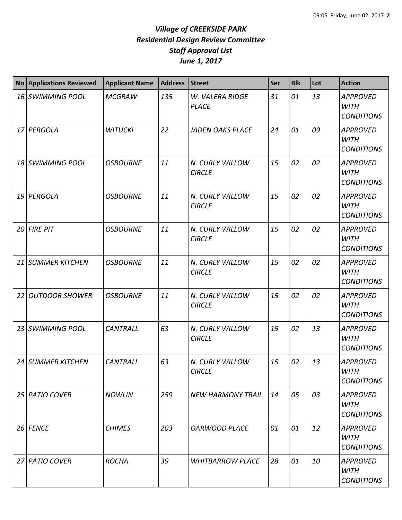|                 | No Applications Reviewed | <b>Applicant Name</b> | <b>Address</b> | Street                           | <b>Sec</b> | <b>Blk</b> | Lot | <b>Action</b>                                       |
|-----------------|--------------------------|-----------------------|----------------|----------------------------------|------------|------------|-----|-----------------------------------------------------|
| 16 <sup>1</sup> | <b>SWIMMING POOL</b>     | <b>MCGRAW</b>         | 135            | W. VALERA RIDGE<br><b>PLACE</b>  | 31         | 01         | 13  | <b>APPROVED</b><br><b>WITH</b><br><b>CONDITIONS</b> |
|                 | 17 PERGOLA               | <b>WITUCKI</b>        | 22             | <b>JADEN OAKS PLACE</b>          | 24         | 01         | 09  | <b>APPROVED</b><br><b>WITH</b><br><b>CONDITIONS</b> |
| 18              | <b>SWIMMING POOL</b>     | <b>OSBOURNE</b>       | 11             | N. CURLY WILLOW<br><b>CIRCLE</b> | 15         | 02         | 02  | <b>APPROVED</b><br><b>WITH</b><br><b>CONDITIONS</b> |
| 19              | PERGOLA                  | <b>OSBOURNE</b>       | 11             | N. CURLY WILLOW<br><b>CIRCLE</b> | 15         | 02         | 02  | <b>APPROVED</b><br><b>WITH</b><br><b>CONDITIONS</b> |
| 20              | <b>FIRE PIT</b>          | <b>OSBOURNE</b>       | 11             | N. CURLY WILLOW<br><b>CIRCLE</b> | 15         | 02         | 02  | <b>APPROVED</b><br><b>WITH</b><br><b>CONDITIONS</b> |
| 21              | <b>SUMMER KITCHEN</b>    | <b>OSBOURNE</b>       | 11             | N. CURLY WILLOW<br><b>CIRCLE</b> | 15         | 02         | 02  | <b>APPROVED</b><br><b>WITH</b><br><b>CONDITIONS</b> |
| 22              | <b>OUTDOOR SHOWER</b>    | <b>OSBOURNE</b>       | 11             | N. CURLY WILLOW<br><b>CIRCLE</b> | 15         | 02         | 02  | <b>APPROVED</b><br><b>WITH</b><br><b>CONDITIONS</b> |
| 23              | <b>SWIMMING POOL</b>     | <b>CANTRALL</b>       | 63             | N. CURLY WILLOW<br><b>CIRCLE</b> | 15         | 02         | 13  | <b>APPROVED</b><br><b>WITH</b><br><b>CONDITIONS</b> |
|                 | 24 SUMMER KITCHEN        | <b>CANTRALL</b>       | 63             | N. CURLY WILLOW<br><b>CIRCLE</b> | 15         | 02         | 13  | <b>APPROVED</b><br><b>WITH</b><br><b>CONDITIONS</b> |
|                 | 25 PATIO COVER           | <b>NOWLIN</b>         | 259            | <b>NEW HARMONY TRAIL</b>         | 14         | 05         | 03  | <b>APPROVED</b><br>WITH<br><b>CONDITIONS</b>        |
|                 | 26 FENCE                 | <b>CHIMES</b>         | 203            | <b>OARWOOD PLACE</b>             | 01         | 01         | 12  | <b>APPROVED</b><br><b>WITH</b><br><b>CONDITIONS</b> |
| 27              | <b>PATIO COVER</b>       | <b>ROCHA</b>          | 39             | <b>WHITBARROW PLACE</b>          | 28         | 01         | 10  | <b>APPROVED</b><br>WITH<br><b>CONDITIONS</b>        |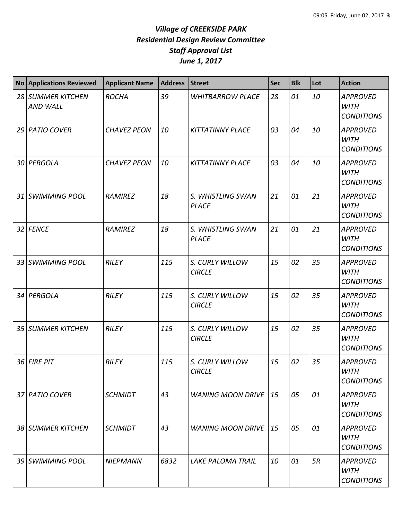| <b>No</b>       | <b>Applications Reviewed</b>         | <b>Applicant Name</b> | <b>Address</b> | <b>Street</b>                     | <b>Sec</b> | <b>Blk</b> | Lot | <b>Action</b>                                       |
|-----------------|--------------------------------------|-----------------------|----------------|-----------------------------------|------------|------------|-----|-----------------------------------------------------|
|                 | 28 SUMMER KITCHEN<br><b>AND WALL</b> | <b>ROCHA</b>          | 39             | <b>WHITBARROW PLACE</b>           | 28         | 01         | 10  | <b>APPROVED</b><br><b>WITH</b><br><b>CONDITIONS</b> |
|                 | 29 PATIO COVER                       | <b>CHAVEZ PEON</b>    | 10             | <b>KITTATINNY PLACE</b>           | 03         | 04         | 10  | <b>APPROVED</b><br><b>WITH</b><br><b>CONDITIONS</b> |
| 30 I            | PERGOLA                              | <b>CHAVEZ PEON</b>    | 10             | <b>KITTATINNY PLACE</b>           | 03         | 04         | 10  | <b>APPROVED</b><br><b>WITH</b><br><b>CONDITIONS</b> |
| 31              | <b>SWIMMING POOL</b>                 | RAMIREZ               | 18             | S. WHISTLING SWAN<br><b>PLACE</b> | 21         | 01         | 21  | <b>APPROVED</b><br><b>WITH</b><br><b>CONDITIONS</b> |
|                 | 32 FENCE                             | <b>RAMIREZ</b>        | 18             | S. WHISTLING SWAN<br><b>PLACE</b> | 21         | 01         | 21  | <b>APPROVED</b><br><b>WITH</b><br><b>CONDITIONS</b> |
| 33 <sup>1</sup> | <b>SWIMMING POOL</b>                 | <b>RILEY</b>          | 115            | S. CURLY WILLOW<br><b>CIRCLE</b>  | 15         | 02         | 35  | <b>APPROVED</b><br><b>WITH</b><br><b>CONDITIONS</b> |
| 34              | PERGOLA                              | <b>RILEY</b>          | 115            | S. CURLY WILLOW<br><b>CIRCLE</b>  | 15         | 02         | 35  | <b>APPROVED</b><br><b>WITH</b><br><b>CONDITIONS</b> |
| 35              | <b>SUMMER KITCHEN</b>                | <b>RILEY</b>          | 115            | S. CURLY WILLOW<br><b>CIRCLE</b>  | 15         | 02         | 35  | <b>APPROVED</b><br><b>WITH</b><br><b>CONDITIONS</b> |
|                 | 36 FIRE PIT                          | <b>RILEY</b>          | 115            | S. CURLY WILLOW<br><b>CIRCLE</b>  | 15         | 02         | 35  | <b>APPROVED</b><br><b>WITH</b><br><b>CONDITIONS</b> |
|                 | 37 PATIO COVER                       | <b>SCHMIDT</b>        | 43             | <b>WANING MOON DRIVE</b>          | 15         | 05         | 01  | <b>APPROVED</b><br><b>WITH</b><br><b>CONDITIONS</b> |
|                 | 38 SUMMER KITCHEN                    | <b>SCHMIDT</b>        | 43             | <b>WANING MOON DRIVE</b>          | 15         | 05         | 01  | <b>APPROVED</b><br><b>WITH</b><br><b>CONDITIONS</b> |
| 39 I            | <b>SWIMMING POOL</b>                 | <b>NIEPMANN</b>       | 6832           | <b>LAKE PALOMA TRAIL</b>          | 10         | 01         | 5R  | <b>APPROVED</b><br>WITH<br><b>CONDITIONS</b>        |